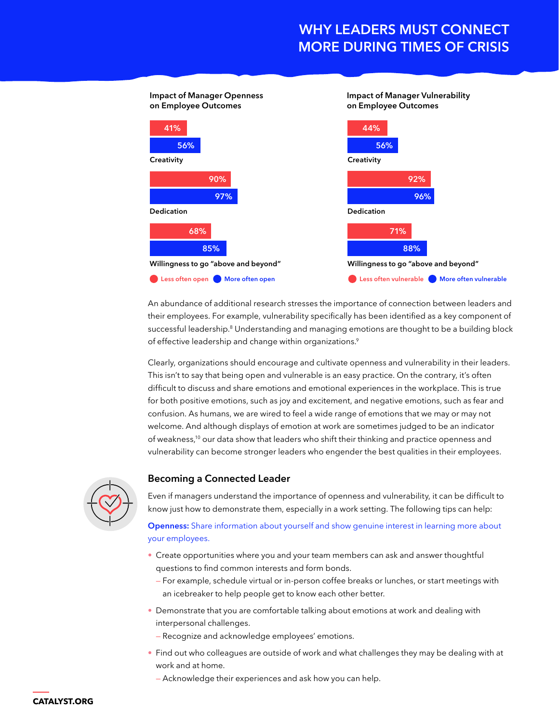# **WHY LEADERS MUST CONNECT MORE DURING TIMES OF CRISIS**



An abundance of additional research stresses the importance of connection between leaders and their employees. For example, vulnerability specifically has been identified as a key component of successful leadership.<sup>8</sup> Understanding and managing emotions are thought to be a building block of effective leadership and change within organizations.<sup>9</sup>

Clearly, organizations should encourage and cultivate openness and vulnerability in their leaders. This isn't to say that being open and vulnerable is an easy practice. On the contrary, it's often difficult to discuss and share emotions and emotional experiences in the workplace. This is true for both positive emotions, such as joy and excitement, and negative emotions, such as fear and confusion. As humans, we are wired to feel a wide range of emotions that we may or may not welcome. And although displays of emotion at work are sometimes judged to be an indicator of weakness,10 our data show that leaders who shift their thinking and practice openness and vulnerability can become stronger leaders who engender the best qualities in their employees.



### **Becoming a Connected Leader**

Even if managers understand the importance of openness and vulnerability, it can be difficult to know just how to demonstrate them, especially in a work setting. The following tips can help:

**Openness:** Share information about yourself and show genuine interest in learning more about your employees.

- Create opportunities where you and your team members can ask and answer thoughtful questions to find common interests and form bonds.
	- For example, schedule virtual or in-person coffee breaks or lunches, or start meetings with an icebreaker to help people get to know each other better.
- Demonstrate that you are comfortable talking about emotions at work and dealing with interpersonal challenges.
- Recognize and acknowledge employees' emotions.
- Find out who colleagues are outside of work and what challenges they may be dealing with at work and at home.
	- Acknowledge their experiences and ask how you can help.

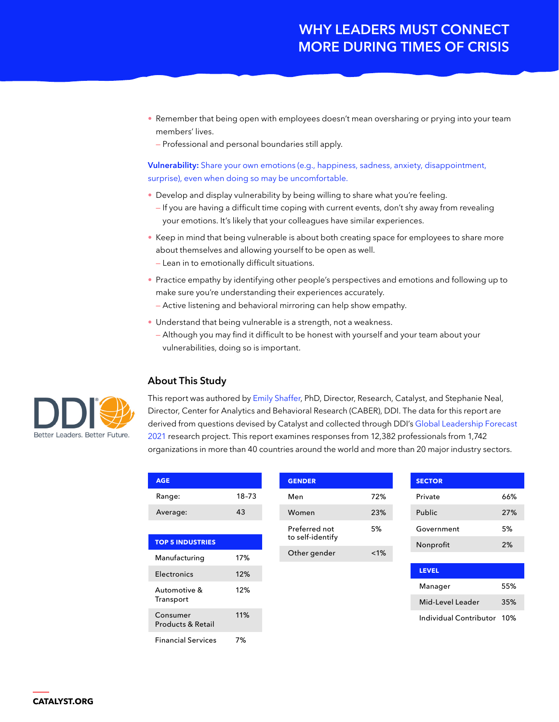# **WHY LEADERS MUST CONNECT MORE DURING TIMES OF CRISIS**

- Remember that being open with employees doesn't mean oversharing or prying into your team members' lives.
	- Professional and personal boundaries still apply.

#### **Vulnerability:** Share your own emotions (e.g., happiness, sadness, anxiety, disappointment, surprise), even when doing so may be uncomfortable.

- Develop and display vulnerability by being willing to share what you're feeling.
- If you are having a difficult time coping with current events, don't shy away from revealing your emotions. It's likely that your colleagues have similar experiences.
- Keep in mind that being vulnerable is about both creating space for employees to share more about themselves and allowing yourself to be open as well.
	- Lean in to emotionally difficult situations.
- Practice empathy by identifying other people's perspectives and emotions and following up to make sure you're understanding their experiences accurately.
- Active listening and behavioral mirroring can help show empathy.
- Understand that being vulnerable is a strength, not a weakness.
	- Although you may find it difficult to be honest with yourself and your team about your vulnerabilities, doing so is important.

### **About This Study**

This report was authored by [Emily Shaffer](https://www.catalyst.org/bio/emily-shaffer-phd/), PhD, Director, Research, Catalyst, and Stephanie Neal, Director, Center for Analytics and Behavioral Research (CABER), DDI. The data for this report are derived from questions devised by Catalyst and collected through DDI's [Global Leadership Forecast](www.ddiworld.com/global-leadership-forecast-2021)  [2021](www.ddiworld.com/global-leadership-forecast-2021) research project. This report examines responses from 12,382 professionals from 1,742 organizations in more than 40 countries around the world and more than 20 major industry sectors.

| <b>AGE</b>                    |       |              | <b>GENDER</b>                     |         |  |
|-------------------------------|-------|--------------|-----------------------------------|---------|--|
| Range:                        | 18-73 |              | Men                               | 72%     |  |
| Average:                      | 43    |              | Women                             | 23%     |  |
| <b>TOP 5 INDUSTRIES</b>       |       |              | Preferred not<br>to self-identify | 5%      |  |
| Manufacturing                 | 17%   | Other gender |                                   | $< 1\%$ |  |
| Electronics                   | 12%   |              |                                   |         |  |
| Automotive &<br>Transport     | 12%   |              |                                   |         |  |
| Consumer<br>Products & Retail | 11%   |              |                                   |         |  |
| <b>Financial Services</b>     | 7%    |              |                                   |         |  |

| <b>SECTOR</b> |     |
|---------------|-----|
| Private       | 66% |
| Public        | 27% |
| Government    | 5%  |
| Nonprofit     | 2%  |
|               |     |

| <b>LEVEL</b>     |     |
|------------------|-----|
| Manager          | 55% |
| Mid-Level Leader | 35% |
|                  |     |

Individual Contributor 10%



| <b>CATALYST.ORG</b> |  |  |
|---------------------|--|--|
|                     |  |  |